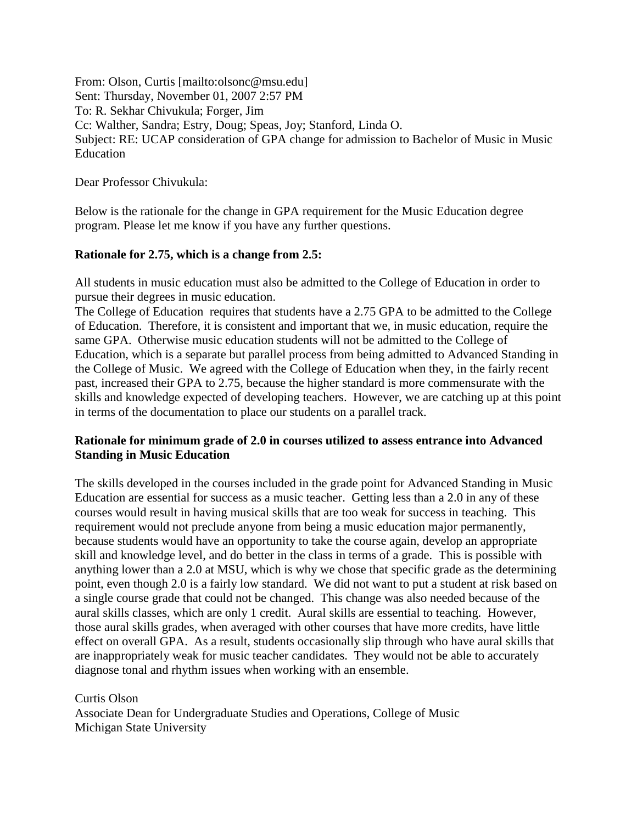From: Olson, Curtis [mailto:olsonc@msu.edu] Sent: Thursday, November 01, 2007 2:57 PM To: R. Sekhar Chivukula; Forger, Jim Cc: Walther, Sandra; Estry, Doug; Speas, Joy; Stanford, Linda O. Subject: RE: UCAP consideration of GPA change for admission to Bachelor of Music in Music Education

Dear Professor Chivukula:

Below is the rationale for the change in GPA requirement for the Music Education degree program. Please let me know if you have any further questions.

## **Rationale for 2.75, which is a change from 2.5:**

All students in music education must also be admitted to the College of Education in order to pursue their degrees in music education.

The College of Education requires that students have a 2.75 GPA to be admitted to the College of Education. Therefore, it is consistent and important that we, in music education, require the same GPA. Otherwise music education students will not be admitted to the College of Education, which is a separate but parallel process from being admitted to Advanced Standing in the College of Music. We agreed with the College of Education when they, in the fairly recent past, increased their GPA to 2.75, because the higher standard is more commensurate with the skills and knowledge expected of developing teachers. However, we are catching up at this point in terms of the documentation to place our students on a parallel track.

## **Rationale for minimum grade of 2.0 in courses utilized to assess entrance into Advanced Standing in Music Education**

The skills developed in the courses included in the grade point for Advanced Standing in Music Education are essential for success as a music teacher. Getting less than a 2.0 in any of these courses would result in having musical skills that are too weak for success in teaching. This requirement would not preclude anyone from being a music education major permanently, because students would have an opportunity to take the course again, develop an appropriate skill and knowledge level, and do better in the class in terms of a grade. This is possible with anything lower than a 2.0 at MSU, which is why we chose that specific grade as the determining point, even though 2.0 is a fairly low standard. We did not want to put a student at risk based on a single course grade that could not be changed. This change was also needed because of the aural skills classes, which are only 1 credit. Aural skills are essential to teaching. However, those aural skills grades, when averaged with other courses that have more credits, have little effect on overall GPA. As a result, students occasionally slip through who have aural skills that are inappropriately weak for music teacher candidates. They would not be able to accurately diagnose tonal and rhythm issues when working with an ensemble.

Curtis Olson

Associate Dean for Undergraduate Studies and Operations, College of Music Michigan State University